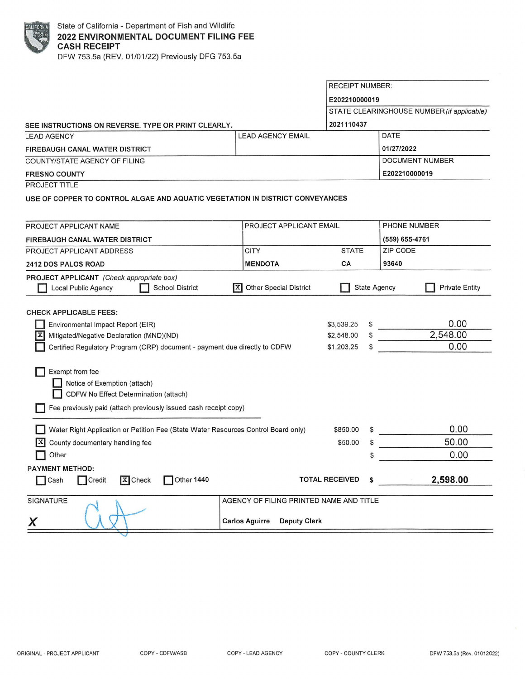| FORN        |  |
|-------------|--|
| <b>Film</b> |  |
|             |  |
|             |  |

SEE **INSTRUCTIONS ON REVERSE. TYPE OR PRINT CLEARLY.**  LEAD AGENCY **LEAD AGENCY LEAD AGENCY LEAD AGENCY FIREBAUGH CANAL WATER DISTRICT**  COUNTY/STATE AGENCY OF FILING **FRESNO COUNTY**  PROJECT TITLE RECEIPT NUMBER: **E202210000019**  STATE CLEARINGHOUSE NUMBER (if applicable) **2021110437**  DATE **0112712022**  DOCUMENT NUMBER **E202210000019 USE OF COPPER TO CONTROL ALGAE AND AQUATIC VEGETATION IN DISTRICT CONVEYANCES**  PROJECT APPLICANT NAME **FIREBAUGH CANAL WATER DISTRICT**  PROJECT APPLICANT EMAIL PHONE NUMBER **(559) 655-4761**  PROJECT APPLICANT ADDRESS **2412 DOS PALOS ROAD PROJECT APPLICANT** (Check appropriate box) **D** Local Public Agency **D** School District CHECK APPLICABLE FEES: **D** Environmental Impact Report (EIR) **IX** Mitigated/Negative Declaration (MND)(ND) **CITY MENDOTA e]** Other Special District **D** Certified Regulatory Program (CRP) document - payment due directly to CDFW **D** Exempt from fee **Notice of Exemption (attach) D** CDFW No Effect Determination (attach) **D** Fee previously paid (attach previously issued cash receipt copy) **D** Water Right Application or Petition Fee (State Water Resources Control Board only)  $X$  County documentary handling fee **D** Other **PAYMENT METHOD: STATE CA**  ZIP CODE **93640 D** State Agency **D** Private Entity \$3,539.25 \$ 0.00 \$2,548.00 \$ 2,548.00  $$1,203.25$   $$$  0.00  $$850.00 \quad $ \qquad \qquad 0.00$  $$50.00 \quad $$  $\frac{10000}{9000}$ **D** Cash Credit **E**Check Other 1440 **TOTAL RECEIVED \$ 2,598.00** SIGNATURE A GENCY OF FILING PRINTED NAME AND TITLE **X Carlos Aguirre Deputy Clerk**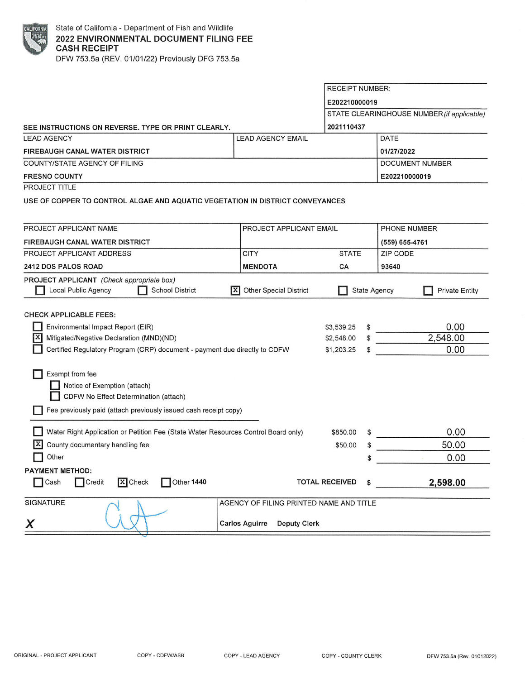

EXAMPLE State of California - Department of Fish and Wildlife<br>2022 ENVIRONMENTAL DOCUMENT FILING<br>CASH RECEIPT<br>DEW 753 5a (REV 01/01/22) Previously DEG 753 5 **2022 ENVIRONMENTAL DOCUMENT FILING FEE CASH RECEIPT**  DFW 753.5a (REV. 01/01/22) Previously DFG 753.5a

**SEE INSTRUCTIONS ON REVERSE. TYPE OR PRINT CLEARLY.**  LEAD AGENCY MAIL CHARGE AGENCY EMAIL **FIREBAUGH CANAL WATER DISTRICT**  COUNTY/STATE AGENCY OF FILING **FRESNO COUNTY**  PROJECT TITLE RECEIPT NUMBER: **E202210000019**  STATE CLEARINGHOUSE NUMBER (if applicable) **2021110437**  DATE **01/27/2022**  DOCUMENT NUMBER **E202210000019 USE OF COPPER TO CONTROL ALGAE AND AQUATIC VEGETATION IN DISTRICT CONVEYANCES**  PROJECT APPLICANT NAME **FIREBAUGH CANAL WATER DISTRICT**  PROJECT APPLICANT ADDRESS **2412 DOS PALOS ROAD PROJECT APPLICANT** (Check appropriate box) PROJECT APPLICANT EMAIL **CITY MENDOTA**  STATE **CA**  PHONE NUMBER **(559) 655-4761**  ZIP CODE **93640 D** Local Public Agency **D** School District [!] Other Special District **D** State Agency **D** Private Entity CHECK APPLICABLE FEES: **D** Environmental Impact Report (EIR)  $\overline{X}$  Mitigated/Negative Declaration (MND)(ND) **D** Certified Regulatory Program (CRP) document - payment due directly to CDFW **D** Exempt from fee **D** Notice of Exemption (attach) **D** CDFW No Effect Determination (attach) **D** Fee previously paid (attach previously issued cash receipt copy) **D** Water Right Application or Petition Fee (State Water Resources Control Board only)  $X$  County documentary handling fee **D** Other **PAYMENT METHOD:**  \$3,539.25 \$ \$2,548.00 \$ \$1,203.25 \$ \$850.00 \$ \$50.00 \$ \$ □ Cash □ Credit **X** Check □ Other 1440 TOTAL RECEIVED \$ SIGNATURE AND TITLE AGENCY OF FILING PRINTED NAME AND TITLE Carlos Aguirre Deputy Clerk 0.00 2,548.00 0.00 0.00 50.00 0.00 **2,598.00**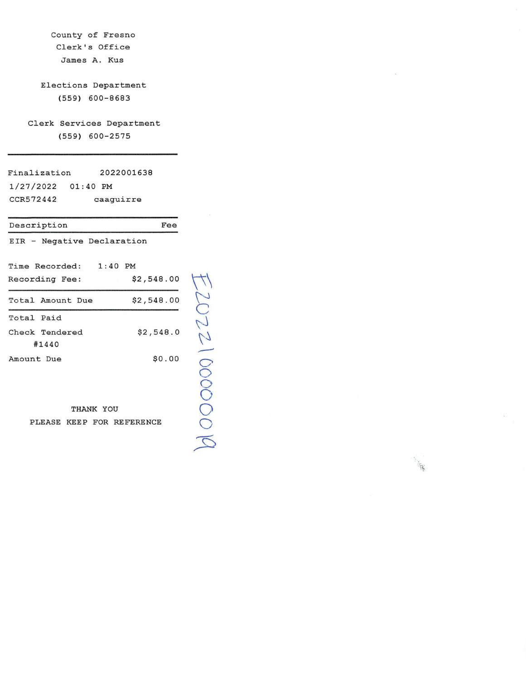| County of Fresno<br>Clerk's Office                     |         |  |  |  |
|--------------------------------------------------------|---------|--|--|--|
| James A. Kus                                           |         |  |  |  |
| Elections Department<br>$(559) 600 - 8683$             |         |  |  |  |
| Clerk Services Department<br>(559) 600-2575            |         |  |  |  |
| Finalization 2022001638<br>1/27/2022 01:40 PM          |         |  |  |  |
| CCR572442<br>caaguirre                                 |         |  |  |  |
| Fee<br>Description                                     |         |  |  |  |
| EIR - Negative Declaration                             |         |  |  |  |
| Time Recorded: 1:40 PM<br>\$2,548.00<br>Recording Fee: |         |  |  |  |
| \$2,548.00<br>Total Amount Due                         |         |  |  |  |
| Total Paid                                             |         |  |  |  |
| Check Tendered<br>\$2,548.0<br>#1440                   | 2002210 |  |  |  |
| \$0.00<br>Amount Due                                   |         |  |  |  |

THANK YOU PLEASE KEEP FOR REFERENCE

 $\sum$  $\bigcirc$ 0  $\bigcirc$  $\overline{\mathcal{L}}$   $\sim$